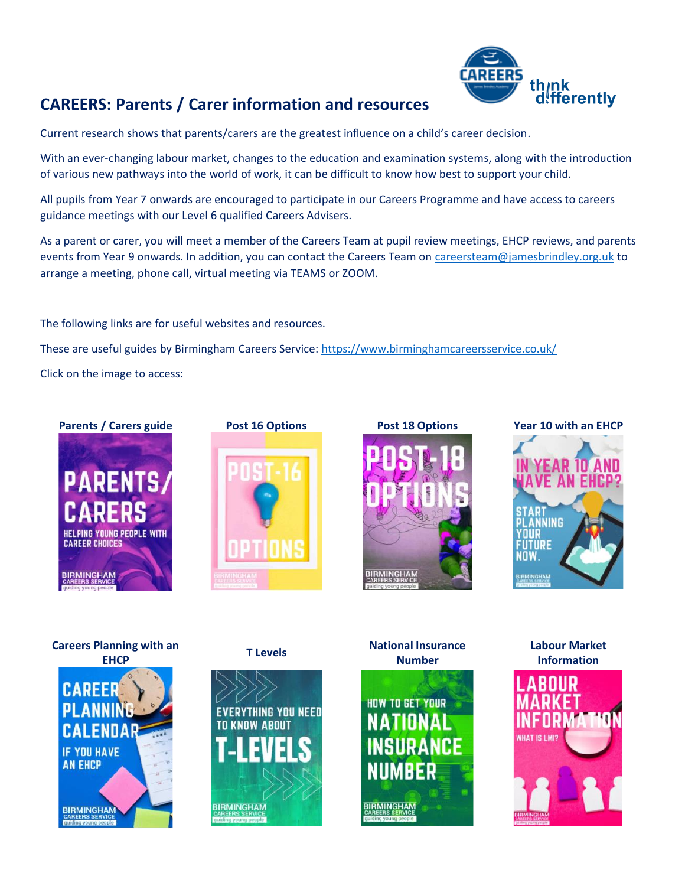

## **CAREERS: Parents / Carer information and resources**

Current research shows that parents/carers are the greatest influence on a child's career decision.

With an ever-changing labour market, changes to the education and examination systems, along with the introduction of various new pathways into the world of work, it can be difficult to know how best to support your child.

All pupils from Year 7 onwards are encouraged to participate in our Careers Programme and have access to careers guidance meetings with our Level 6 qualified Careers Advisers.

As a parent or carer, you will meet a member of the Careers Team at pupil review meetings, EHCP reviews, and parents events from Year 9 onwards. In addition, you can contact the Careers Team on [careersteam@jamesbrindley.org.uk](mailto:careersteam@jamesbrindley.org.uk) to arrange a meeting, phone call, virtual meeting via TEAMS or ZOOM.

The following links are for useful websites and resources.

These are useful guides by Birmingham Careers Service:<https://www.birminghamcareersservice.co.uk/>

Click on the image to access:













**National Insurance Number HOW TO GET YOUR** NATIONAI **INSURANCE** NIIMRFR

**BIRMINGHAM** 

**Labour Market Information**